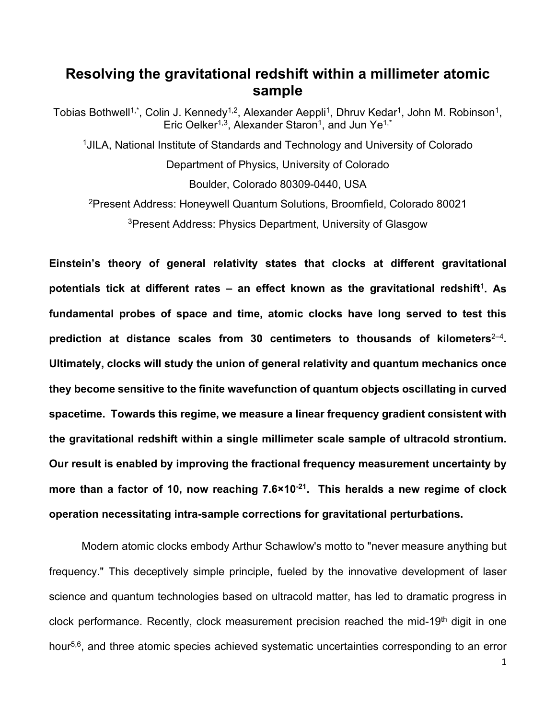# **Resolving the gravitational redshift within a millimeter atomic sample**

Tobias Bothwell<sup>1,\*</sup>, Colin J. Kennedy<sup>1,2</sup>, Alexander Aeppli<sup>1</sup>, Dhruv Kedar<sup>1</sup>, John M. Robinson<sup>1</sup>, Eric Oelker<sup>1,3</sup>, Alexander Staron<sup>1</sup>, and Jun Ye<sup>1,\*</sup> <sup>1</sup> JILA, National Institute of Standards and Technology and University of Colorado Department of Physics, University of Colorado

Boulder, Colorado 80309-0440, USA

2Present Address: Honeywell Quantum Solutions, Broomfield, Colorado 80021 3Present Address: Physics Department, University of Glasgow

**Einstein's theory of general relativity states that clocks at different gravitational potentials tick at different rates – an effect known as the gravitational redshift**<sup>1</sup>**. As fundamental probes of space and time, atomic clocks have long served to test this prediction at distance scales from 30 centimeters to thousands of kilometers**2–4**. Ultimately, clocks will study the union of general relativity and quantum mechanics once they become sensitive to the finite wavefunction of quantum objects oscillating in curved spacetime. Towards this regime, we measure a linear frequency gradient consistent with the gravitational redshift within a single millimeter scale sample of ultracold strontium. Our result is enabled by improving the fractional frequency measurement uncertainty by more than a factor of 10, now reaching 7.6×10-21. This heralds a new regime of clock operation necessitating intra-sample corrections for gravitational perturbations.**

Modern atomic clocks embody Arthur Schawlow's motto to "never measure anything but frequency." This deceptively simple principle, fueled by the innovative development of laser science and quantum technologies based on ultracold matter, has led to dramatic progress in clock performance. Recently, clock measurement precision reached the mid-19<sup>th</sup> digit in one hour<sup>5,6</sup>, and three atomic species achieved systematic uncertainties corresponding to an error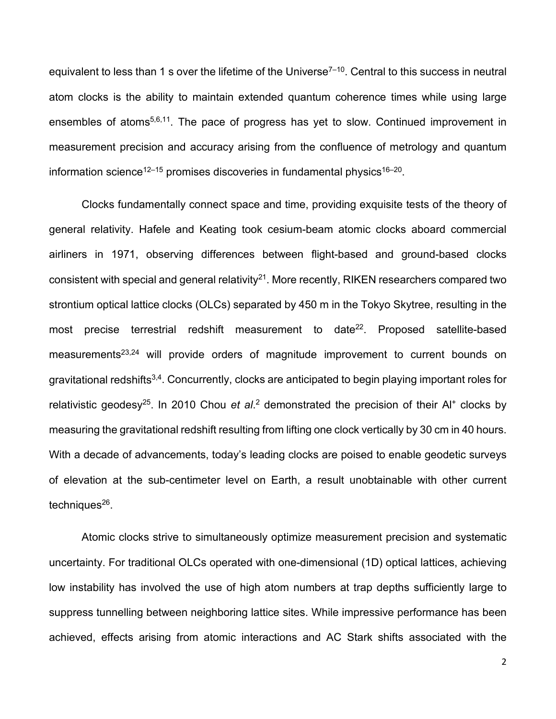equivalent to less than 1 s over the lifetime of the Universe<sup> $7-10$ </sup>. Central to this success in neutral atom clocks is the ability to maintain extended quantum coherence times while using large ensembles of atoms $5,6,11$ . The pace of progress has yet to slow. Continued improvement in measurement precision and accuracy arising from the confluence of metrology and quantum information science<sup>12–15</sup> promises discoveries in fundamental physics<sup>16–20</sup>.

Clocks fundamentally connect space and time, providing exquisite tests of the theory of general relativity. Hafele and Keating took cesium-beam atomic clocks aboard commercial airliners in 1971, observing differences between flight-based and ground-based clocks consistent with special and general relativity<sup>21</sup>. More recently, RIKEN researchers compared two strontium optical lattice clocks (OLCs) separated by 450 m in the Tokyo Skytree, resulting in the most precise terrestrial redshift measurement to date<sup>22</sup>. Proposed satellite-based measurements<sup>23,24</sup> will provide orders of magnitude improvement to current bounds on gravitational redshifts<sup>3,4</sup>. Concurrently, clocks are anticipated to begin playing important roles for relativistic geodesy<sup>25</sup>. In 2010 Chou *et al*.<sup>2</sup> demonstrated the precision of their Al<sup>+</sup> clocks by measuring the gravitational redshift resulting from lifting one clock vertically by 30 cm in 40 hours. With a decade of advancements, today's leading clocks are poised to enable geodetic surveys of elevation at the sub-centimeter level on Earth, a result unobtainable with other current techniques<sup>26</sup>.

Atomic clocks strive to simultaneously optimize measurement precision and systematic uncertainty. For traditional OLCs operated with one-dimensional (1D) optical lattices, achieving low instability has involved the use of high atom numbers at trap depths sufficiently large to suppress tunnelling between neighboring lattice sites. While impressive performance has been achieved, effects arising from atomic interactions and AC Stark shifts associated with the

2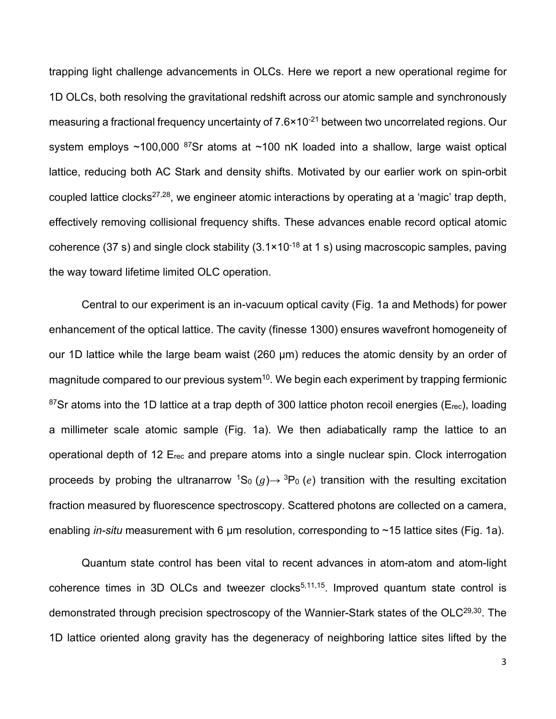trapping light challenge advancements in OLCs. Here we report a new operational regime for 1D OLCs, both resolving the gravitational redshift across our atomic sample and synchronously measuring a fractional frequency uncertainty of 7.6×10<sup>-21</sup> between two uncorrelated regions. Our system employs  $\sim$ 100,000  $^{87}$ Sr atoms at  $\sim$ 100 nK loaded into a shallow, large waist optical lattice, reducing both AC Stark and density shifts. Motivated by our earlier work on spin-orbit coupled lattice clocks<sup>27,28</sup>, we engineer atomic interactions by operating at a 'magic' trap depth, effectively removing collisional frequency shifts. These advances enable record optical atomic coherence (37 s) and single clock stability (3.1 $\times$ 10<sup>-18</sup> at 1 s) using macroscopic samples, paving the way toward lifetime limited OLC operation.

Central to our experiment is an in-vacuum optical cavity (Fig. 1a and Methods) for power enhancement of the optical lattice. The cavity (finesse 1300) ensures wavefront homogeneity of our 1D lattice while the large beam waist (260 μm) reduces the atomic density by an order of magnitude compared to our previous system $10$ . We begin each experiment by trapping fermionic  $87$ Sr atoms into the 1D lattice at a trap depth of 300 lattice photon recoil energies (E<sub>rec</sub>), loading a millimeter scale atomic sample (Fig. 1a). We then adiabatically ramp the lattice to an operational depth of 12 Erec and prepare atoms into a single nuclear spin. Clock interrogation proceeds by probing the ultranarrow <sup>1</sup>S<sub>0</sub> (*g*)  $\rightarrow$  <sup>3</sup>P<sub>0</sub> (*e*) transition with the resulting excitation fraction measured by fluorescence spectroscopy. Scattered photons are collected on a camera, enabling *in-situ* measurement with 6 μm resolution, corresponding to ~15 lattice sites (Fig. 1a).

Quantum state control has been vital to recent advances in atom-atom and atom-light coherence times in 3D OLCs and tweezer clocks $5,11,15$ . Improved quantum state control is demonstrated through precision spectroscopy of the Wannier-Stark states of the OLC<sup>29,30</sup>. The 1D lattice oriented along gravity has the degeneracy of neighboring lattice sites lifted by the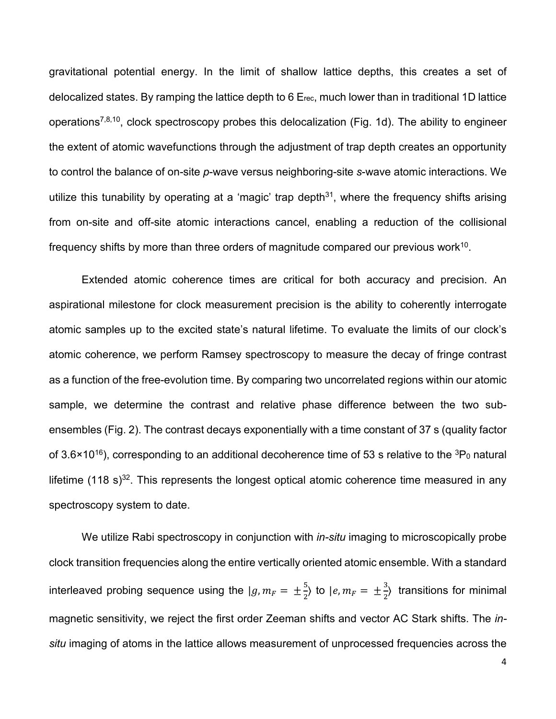gravitational potential energy. In the limit of shallow lattice depths, this creates a set of delocalized states. By ramping the lattice depth to 6 Erec, much lower than in traditional 1D lattice operations7,8,10, clock spectroscopy probes this delocalization (Fig. 1d). The ability to engineer the extent of atomic wavefunctions through the adjustment of trap depth creates an opportunity to control the balance of on-site *p*-wave versus neighboring-site *s*-wave atomic interactions. We utilize this tunability by operating at a 'magic' trap depth $31$ , where the frequency shifts arising from on-site and off-site atomic interactions cancel, enabling a reduction of the collisional frequency shifts by more than three orders of magnitude compared our previous work $10$ .

Extended atomic coherence times are critical for both accuracy and precision. An aspirational milestone for clock measurement precision is the ability to coherently interrogate atomic samples up to the excited state's natural lifetime. To evaluate the limits of our clock's atomic coherence, we perform Ramsey spectroscopy to measure the decay of fringe contrast as a function of the free-evolution time. By comparing two uncorrelated regions within our atomic sample, we determine the contrast and relative phase difference between the two subensembles (Fig. 2). The contrast decays exponentially with a time constant of 37 s (quality factor of 3.6×10<sup>16</sup>), corresponding to an additional decoherence time of 53 s relative to the <sup>3</sup>P<sub>0</sub> natural lifetime (118 s)<sup>32</sup>. This represents the longest optical atomic coherence time measured in any spectroscopy system to date.

We utilize Rabi spectroscopy in conjunction with *in-situ* imaging to microscopically probe clock transition frequencies along the entire vertically oriented atomic ensemble. With a standard interleaved probing sequence using the  $|g, m_F = \pm \frac{5}{2} \rangle$  to  $|e, m_F = \pm \frac{3}{2} \rangle$  transitions for minimal magnetic sensitivity, we reject the first order Zeeman shifts and vector AC Stark shifts. The *insitu* imaging of atoms in the lattice allows measurement of unprocessed frequencies across the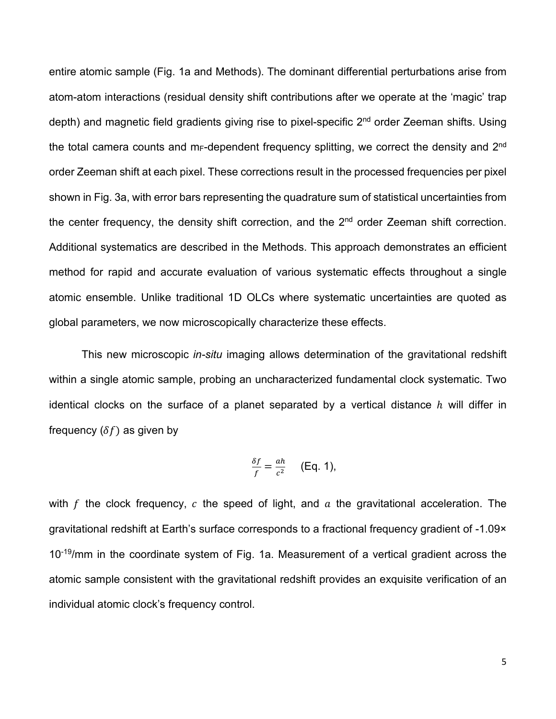entire atomic sample (Fig. 1a and Methods). The dominant differential perturbations arise from atom-atom interactions (residual density shift contributions after we operate at the 'magic' trap depth) and magnetic field gradients giving rise to pixel-specific 2<sup>nd</sup> order Zeeman shifts. Using the total camera counts and m<sub>F</sub>-dependent frequency splitting, we correct the density and  $2<sup>nd</sup>$ order Zeeman shift at each pixel. These corrections result in the processed frequencies per pixel shown in Fig. 3a, with error bars representing the quadrature sum of statistical uncertainties from the center frequency, the density shift correction, and the  $2<sup>nd</sup>$  order Zeeman shift correction. Additional systematics are described in the Methods. This approach demonstrates an efficient method for rapid and accurate evaluation of various systematic effects throughout a single atomic ensemble. Unlike traditional 1D OLCs where systematic uncertainties are quoted as global parameters, we now microscopically characterize these effects.

This new microscopic *in-situ* imaging allows determination of the gravitational redshift within a single atomic sample, probing an uncharacterized fundamental clock systematic. Two identical clocks on the surface of a planet separated by a vertical distance  $h$  will differ in frequency  $(\delta f)$  as given by

$$
\frac{\delta f}{f}=\frac{ah}{c^2}\quad \text{(Eq. 1)},
$$

with f the clock frequency,  $c$  the speed of light, and  $a$  the gravitational acceleration. The gravitational redshift at Earth's surface corresponds to a fractional frequency gradient of -1.09× 10<sup>-19</sup>/mm in the coordinate system of Fig. 1a. Measurement of a vertical gradient across the atomic sample consistent with the gravitational redshift provides an exquisite verification of an individual atomic clock's frequency control.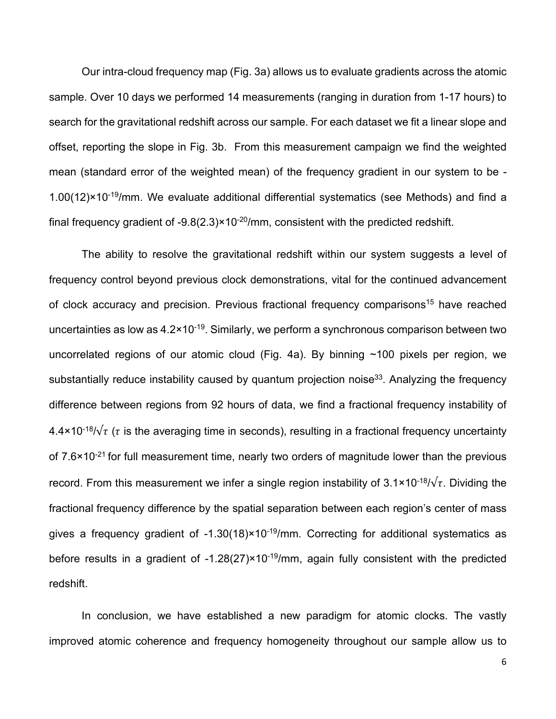Our intra-cloud frequency map (Fig. 3a) allows us to evaluate gradients across the atomic sample. Over 10 days we performed 14 measurements (ranging in duration from 1-17 hours) to search for the gravitational redshift across our sample. For each dataset we fit a linear slope and offset, reporting the slope in Fig. 3b. From this measurement campaign we find the weighted mean (standard error of the weighted mean) of the frequency gradient in our system to be - 1.00(12)×10-19/mm. We evaluate additional differential systematics (see Methods) and find a final frequency gradient of -9.8(2.3) $\times$ 10<sup>-20</sup>/mm, consistent with the predicted redshift.

The ability to resolve the gravitational redshift within our system suggests a level of frequency control beyond previous clock demonstrations, vital for the continued advancement of clock accuracy and precision. Previous fractional frequency comparisons<sup>15</sup> have reached uncertainties as low as  $4.2 \times 10^{-19}$ . Similarly, we perform a synchronous comparison between two uncorrelated regions of our atomic cloud (Fig. 4a). By binning ~100 pixels per region, we substantially reduce instability caused by quantum projection noise<sup>33</sup>. Analyzing the frequency difference between regions from 92 hours of data, we find a fractional frequency instability of  $4.4\times10^{-18}/\sqrt{\tau}$  ( $\tau$  is the averaging time in seconds), resulting in a fractional frequency uncertainty of  $7.6 \times 10^{-21}$  for full measurement time, nearly two orders of magnitude lower than the previous record. From this measurement we infer a single region instability of  $3.1 \times 10^{-18}/\sqrt{\tau}$ . Dividing the fractional frequency difference by the spatial separation between each region's center of mass gives a frequency gradient of  $-1.30(18) \times 10^{-19}$ /mm. Correcting for additional systematics as before results in a gradient of -1.28(27)×10<sup>-19</sup>/mm, again fully consistent with the predicted redshift.

In conclusion, we have established a new paradigm for atomic clocks. The vastly improved atomic coherence and frequency homogeneity throughout our sample allow us to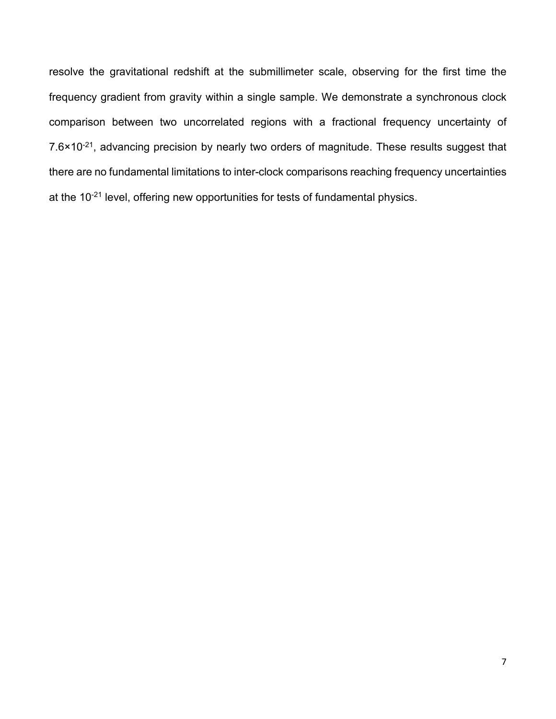resolve the gravitational redshift at the submillimeter scale, observing for the first time the frequency gradient from gravity within a single sample. We demonstrate a synchronous clock comparison between two uncorrelated regions with a fractional frequency uncertainty of 7.6×10<sup>-21</sup>, advancing precision by nearly two orders of magnitude. These results suggest that there are no fundamental limitations to inter-clock comparisons reaching frequency uncertainties at the 10-21 level, offering new opportunities for tests of fundamental physics.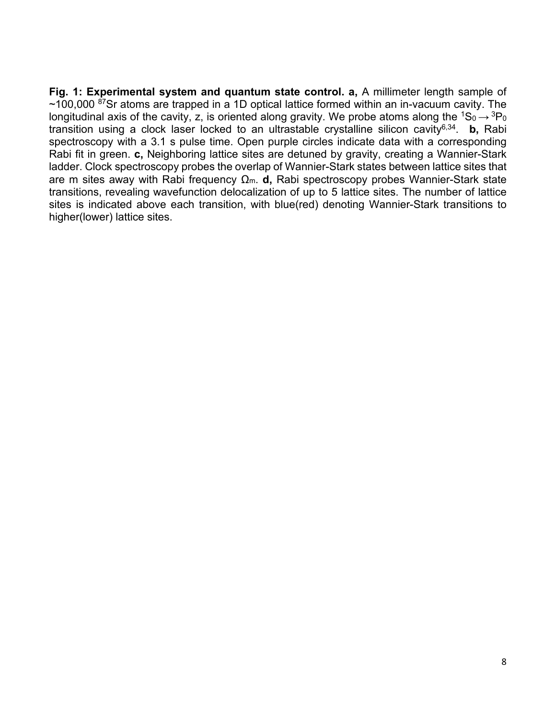**Fig. 1: Experimental system and quantum state control. a,** A millimeter length sample of  $\sim$ 100,000  $87$ Sr atoms are trapped in a 1D optical lattice formed within an in-vacuum cavity. The longitudinal axis of the cavity, z, is oriented along gravity. We probe atoms along the  ${}^{1}S_{0} \rightarrow {}^{3}P_{0}$ transition using a clock laser locked to an ultrastable crystalline silicon cavity6,34. **b,** Rabi spectroscopy with a 3.1 s pulse time. Open purple circles indicate data with a corresponding Rabi fit in green. **c,** Neighboring lattice sites are detuned by gravity, creating a Wannier-Stark ladder. Clock spectroscopy probes the overlap of Wannier-Stark states between lattice sites that are m sites away with Rabi frequency Ωm. **d,** Rabi spectroscopy probes Wannier-Stark state transitions, revealing wavefunction delocalization of up to 5 lattice sites. The number of lattice sites is indicated above each transition, with blue(red) denoting Wannier-Stark transitions to higher(lower) lattice sites.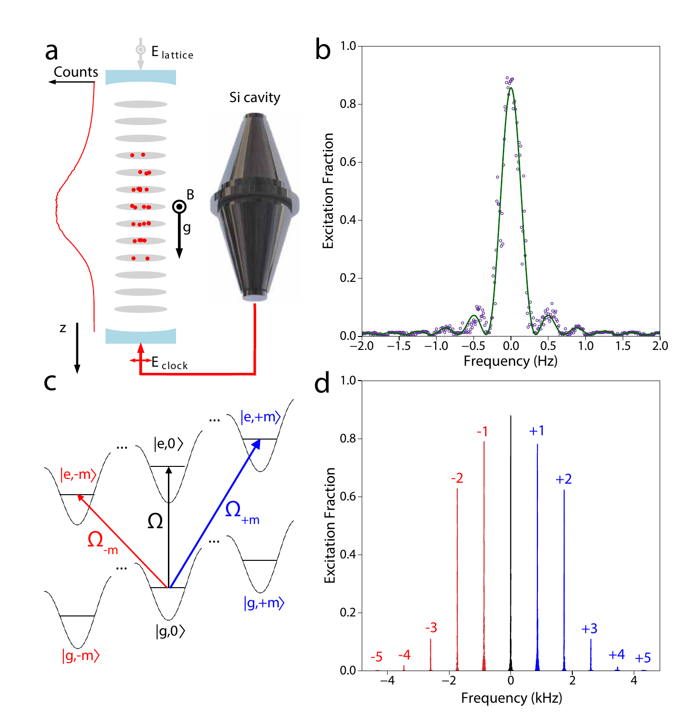Frequency (kHz)

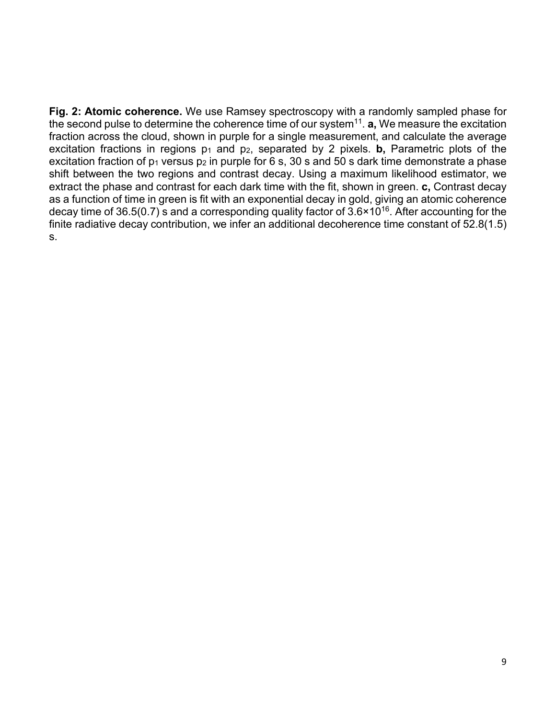**Fig. 2: Atomic coherence.** We use Ramsey spectroscopy with a randomly sampled phase for the second pulse to determine the coherence time of our system11. **a,** We measure the excitation fraction across the cloud, shown in purple for a single measurement, and calculate the average excitation fractions in regions p<sub>1</sub> and p<sub>2</sub>, separated by 2 pixels. **b**, Parametric plots of the excitation fraction of  $p_1$  versus  $p_2$  in purple for 6 s, 30 s and 50 s dark time demonstrate a phase shift between the two regions and contrast decay. Using a maximum likelihood estimator, we extract the phase and contrast for each dark time with the fit, shown in green. **c,** Contrast decay as a function of time in green is fit with an exponential decay in gold, giving an atomic coherence decay time of 36.5(0.7) s and a corresponding quality factor of  $3.6 \times 10^{16}$ . After accounting for the finite radiative decay contribution, we infer an additional decoherence time constant of 52.8(1.5) s.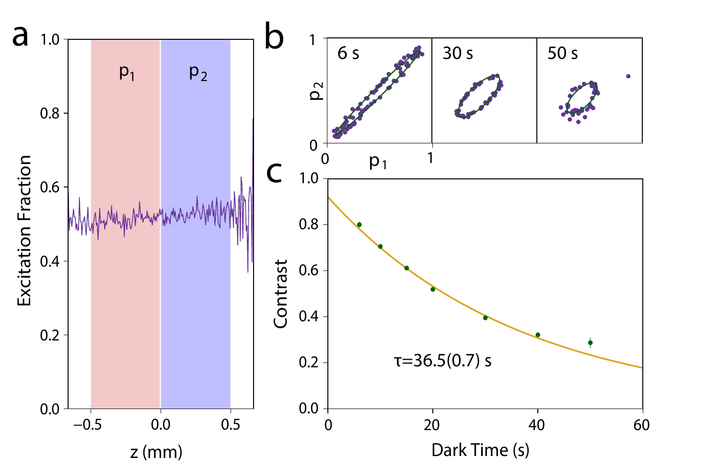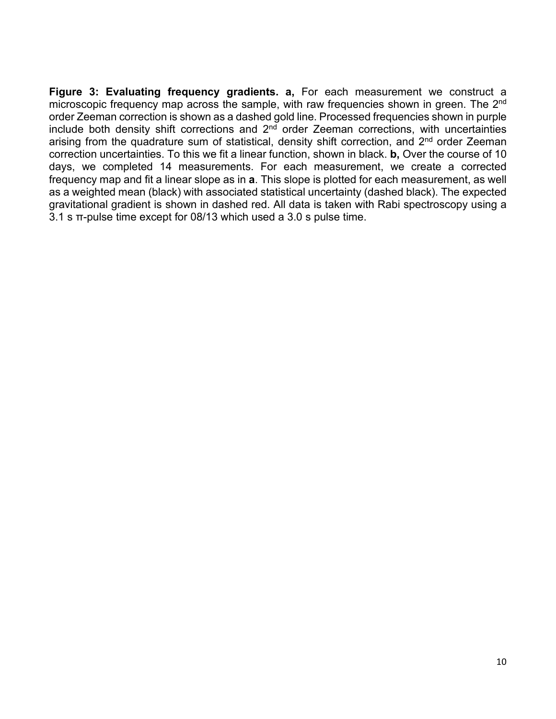**Figure 3: Evaluating frequency gradients. a,** For each measurement we construct a microscopic frequency map across the sample, with raw frequencies shown in green. The 2<sup>nd</sup> order Zeeman correction is shown as a dashed gold line. Processed frequencies shown in purple include both density shift corrections and  $2<sup>nd</sup>$  order Zeeman corrections, with uncertainties arising from the quadrature sum of statistical, density shift correction, and 2<sup>nd</sup> order Zeeman correction uncertainties. To this we fit a linear function, shown in black. **b,** Over the course of 10 days, we completed 14 measurements. For each measurement, we create a corrected frequency map and fit a linear slope as in **a**. This slope is plotted for each measurement, as well as a weighted mean (black) with associated statistical uncertainty (dashed black). The expected gravitational gradient is shown in dashed red. All data is taken with Rabi spectroscopy using a 3.1 s π-pulse time except for 08/13 which used a 3.0 s pulse time.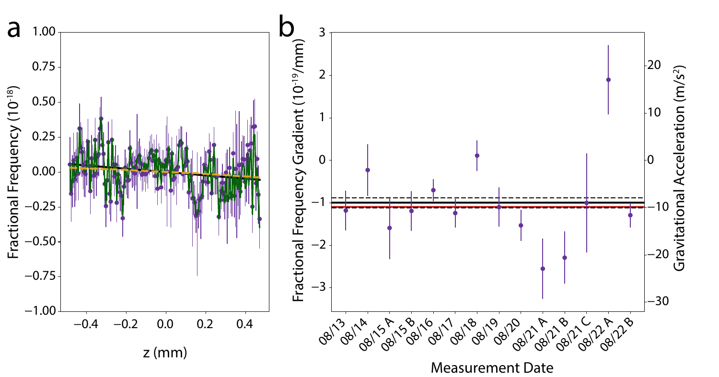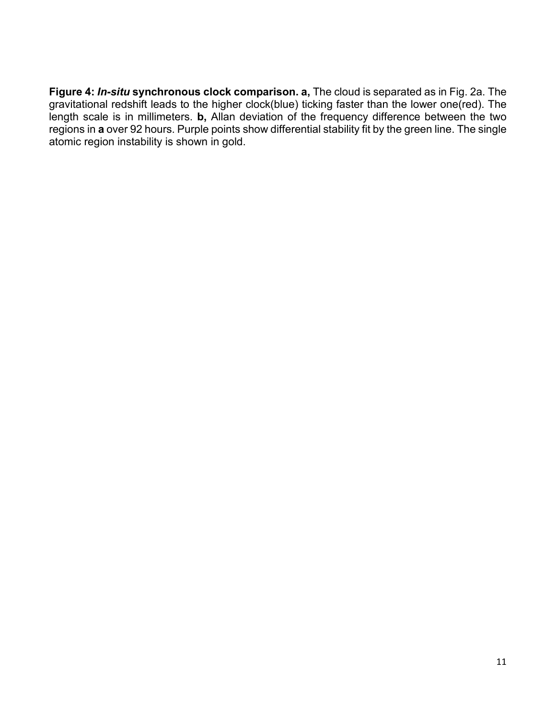**Figure 4:** *In-situ* **synchronous clock comparison. a,** The cloud is separated as in Fig. 2a. The gravitational redshift leads to the higher clock(blue) ticking faster than the lower one(red). The length scale is in millimeters. **b,** Allan deviation of the frequency difference between the two regions in **a** over 92 hours. Purple points show differential stability fit by the green line. The single atomic region instability is shown in gold.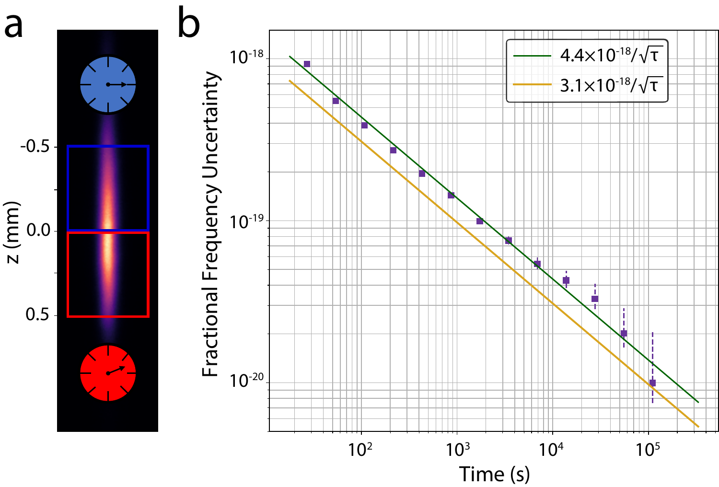

Time (s)

 $10<sup>4</sup>$ 

 $4 \t 10^5$ 

H

 $4.4\times10^{-18}/\sqrt{\tau}$ 

 $3.1 \times 10^{-18}/\sqrt{\tau}$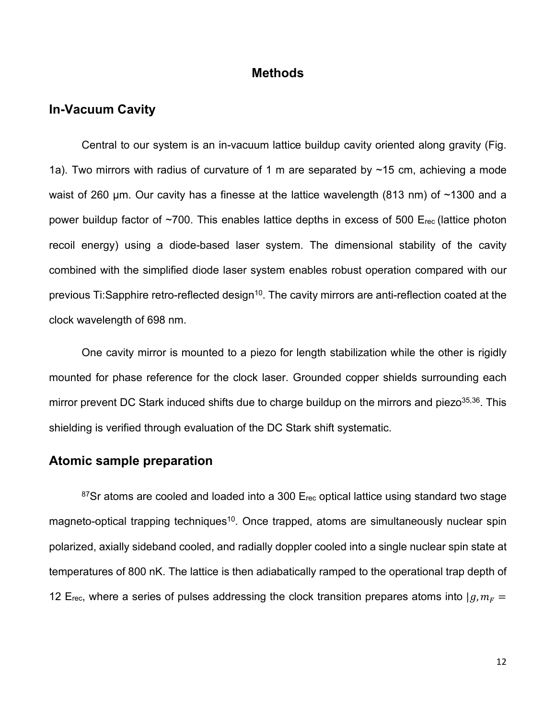### **Methods**

## **In-Vacuum Cavity**

Central to our system is an in-vacuum lattice buildup cavity oriented along gravity (Fig. 1a). Two mirrors with radius of curvature of 1 m are separated by ~15 cm, achieving a mode waist of 260 μm. Our cavity has a finesse at the lattice wavelength (813 nm) of ~1300 and a power buildup factor of  $\sim$ 700. This enables lattice depths in excess of 500  $E_{rec}$  (lattice photon recoil energy) using a diode-based laser system. The dimensional stability of the cavity combined with the simplified diode laser system enables robust operation compared with our previous Ti:Sapphire retro-reflected design<sup>10</sup>. The cavity mirrors are anti-reflection coated at the clock wavelength of 698 nm.

One cavity mirror is mounted to a piezo for length stabilization while the other is rigidly mounted for phase reference for the clock laser. Grounded copper shields surrounding each mirror prevent DC Stark induced shifts due to charge buildup on the mirrors and piezo $35,36$ . This shielding is verified through evaluation of the DC Stark shift systematic.

### **Atomic sample preparation**

 $87$ Sr atoms are cooled and loaded into a 300  $E_{rec}$  optical lattice using standard two stage magneto-optical trapping techniques<sup>10</sup>. Once trapped, atoms are simultaneously nuclear spin polarized, axially sideband cooled, and radially doppler cooled into a single nuclear spin state at temperatures of 800 nK. The lattice is then adiabatically ramped to the operational trap depth of 12 E<sub>rec</sub>, where a series of pulses addressing the clock transition prepares atoms into  $|g, m_F|$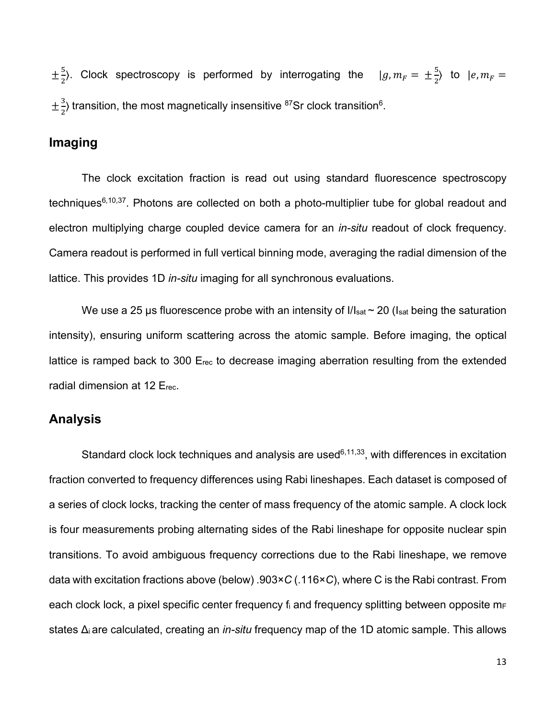$\pm \frac{5}{2}$ ). Clock spectroscopy is performed by interrogating the  $|g, m_F = \pm \frac{5}{2} \rangle$  to  $|e, m_F = \pm \frac{5}{2} \rangle$  $\pm \frac{3}{2}$ ) transition, the most magnetically insensitive <sup>87</sup>Sr clock transition<sup>6</sup>.

## **Imaging**

The clock excitation fraction is read out using standard fluorescence spectroscopy techniques<sup>6,10,37</sup>. Photons are collected on both a photo-multiplier tube for global readout and electron multiplying charge coupled device camera for an *in-situ* readout of clock frequency. Camera readout is performed in full vertical binning mode, averaging the radial dimension of the lattice. This provides 1D *in-situ* imaging for all synchronous evaluations.

We use a 25 µs fluorescence probe with an intensity of I/I<sub>sat</sub>  $\sim$  20 (I<sub>sat</sub> being the saturation intensity), ensuring uniform scattering across the atomic sample. Before imaging, the optical lattice is ramped back to 300 E<sub>rec</sub> to decrease imaging aberration resulting from the extended radial dimension at 12 Erec.

## **Analysis**

Standard clock lock techniques and analysis are used<sup>6,11,33</sup>, with differences in excitation fraction converted to frequency differences using Rabi lineshapes. Each dataset is composed of a series of clock locks, tracking the center of mass frequency of the atomic sample. A clock lock is four measurements probing alternating sides of the Rabi lineshape for opposite nuclear spin transitions. To avoid ambiguous frequency corrections due to the Rabi lineshape, we remove data with excitation fractions above (below) .903×*C* (.116×*C*), where C is the Rabi contrast. From each clock lock, a pixel specific center frequency fi and frequency splitting between opposite mF states Δi are calculated, creating an *in-situ* frequency map of the 1D atomic sample. This allows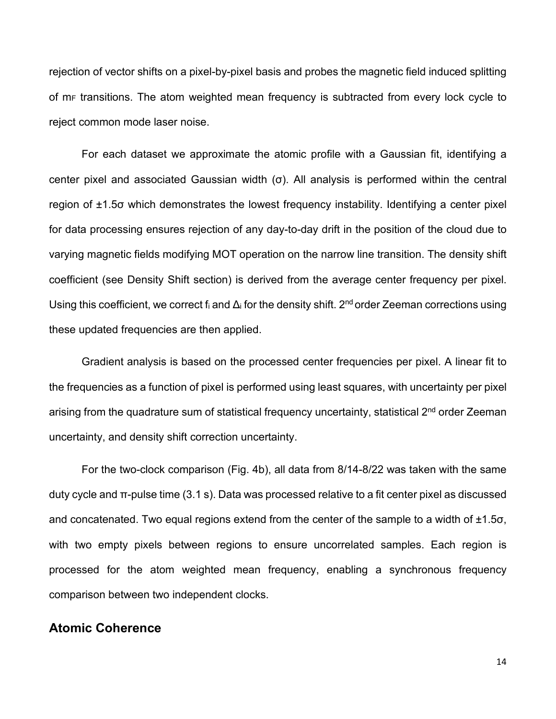rejection of vector shifts on a pixel-by-pixel basis and probes the magnetic field induced splitting of m<sub>F</sub> transitions. The atom weighted mean frequency is subtracted from every lock cycle to reject common mode laser noise.

For each dataset we approximate the atomic profile with a Gaussian fit, identifying a center pixel and associated Gaussian width (σ). All analysis is performed within the central region of ±1.5σ which demonstrates the lowest frequency instability. Identifying a center pixel for data processing ensures rejection of any day-to-day drift in the position of the cloud due to varying magnetic fields modifying MOT operation on the narrow line transition. The density shift coefficient (see Density Shift section) is derived from the average center frequency per pixel. Using this coefficient, we correct f<sub>i</sub> and  $\Delta_i$  for the density shift. 2<sup>nd</sup> order Zeeman corrections using these updated frequencies are then applied.

Gradient analysis is based on the processed center frequencies per pixel. A linear fit to the frequencies as a function of pixel is performed using least squares, with uncertainty per pixel arising from the quadrature sum of statistical frequency uncertainty, statistical 2<sup>nd</sup> order Zeeman uncertainty, and density shift correction uncertainty.

For the two-clock comparison (Fig. 4b), all data from 8/14-8/22 was taken with the same duty cycle and π-pulse time (3.1 s). Data was processed relative to a fit center pixel as discussed and concatenated. Two equal regions extend from the center of the sample to a width of  $\pm 1.5\sigma$ , with two empty pixels between regions to ensure uncorrelated samples. Each region is processed for the atom weighted mean frequency, enabling a synchronous frequency comparison between two independent clocks.

### **Atomic Coherence**

14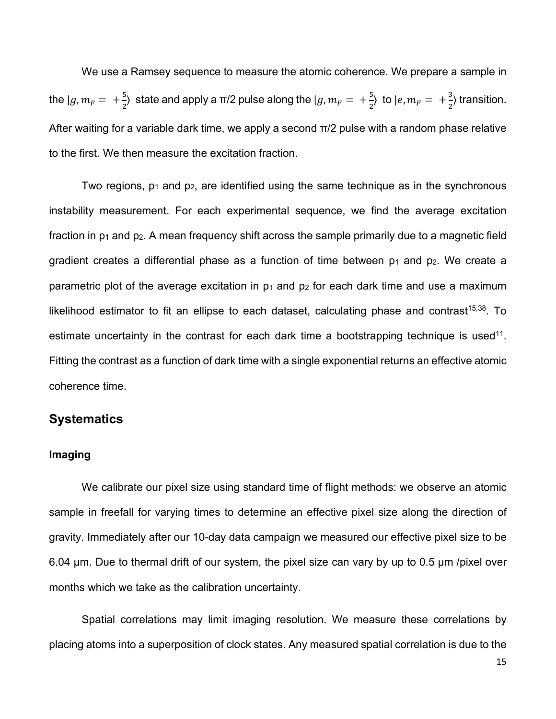We use a Ramsey sequence to measure the atomic coherence. We prepare a sample in the  $|g, m_F = +\frac{5}{2}$  state and apply a π/2 pulse along the  $|g, m_F = +\frac{5}{2}$  to  $|e, m_F = +\frac{3}{2}$  transition. After waiting for a variable dark time, we apply a second  $π/2$  pulse with a random phase relative to the first. We then measure the excitation fraction.

Two regions,  $p_1$  and  $p_2$ , are identified using the same technique as in the synchronous instability measurement. For each experimental sequence, we find the average excitation fraction in  $p_1$  and  $p_2$ . A mean frequency shift across the sample primarily due to a magnetic field gradient creates a differential phase as a function of time between  $p_1$  and  $p_2$ . We create a parametric plot of the average excitation in  $p_1$  and  $p_2$  for each dark time and use a maximum likelihood estimator to fit an ellipse to each dataset, calculating phase and contrast<sup>15,38</sup>. To estimate uncertainty in the contrast for each dark time a bootstrapping technique is used<sup>11</sup>. Fitting the contrast as a function of dark time with a single exponential returns an effective atomic coherence time.

## **Systematics**

### **Imaging**

We calibrate our pixel size using standard time of flight methods: we observe an atomic sample in freefall for varying times to determine an effective pixel size along the direction of gravity. Immediately after our 10-day data campaign we measured our effective pixel size to be 6.04 μm. Due to thermal drift of our system, the pixel size can vary by up to 0.5 μm /pixel over months which we take as the calibration uncertainty.

Spatial correlations may limit imaging resolution. We measure these correlations by placing atoms into a superposition of clock states. Any measured spatial correlation is due to the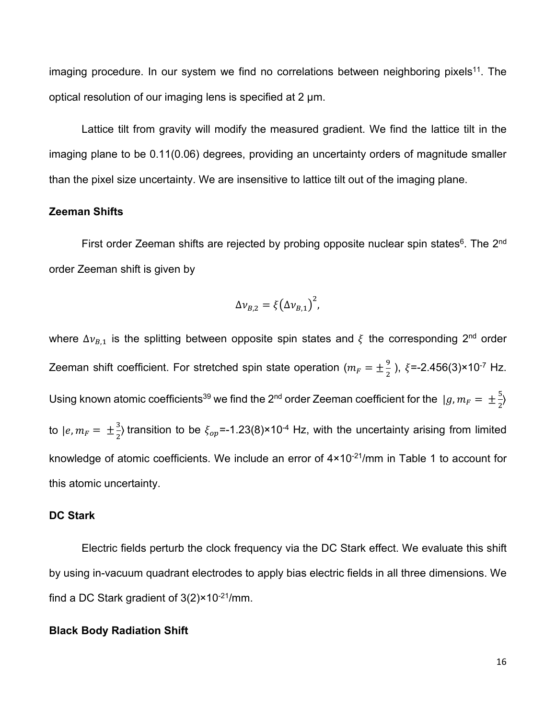imaging procedure. In our system we find no correlations between neighboring pixels<sup>11</sup>. The optical resolution of our imaging lens is specified at 2 μm.

Lattice tilt from gravity will modify the measured gradient. We find the lattice tilt in the imaging plane to be 0.11(0.06) degrees, providing an uncertainty orders of magnitude smaller than the pixel size uncertainty. We are insensitive to lattice tilt out of the imaging plane.

#### **Zeeman Shifts**

First order Zeeman shifts are rejected by probing opposite nuclear spin states<sup>6</sup>. The 2<sup>nd</sup> order Zeeman shift is given by

$$
\Delta\nu_{B,2}=\xi\big(\Delta\nu_{B,1}\big)^2,
$$

where  $\Delta v_{B,1}$  is the splitting between opposite spin states and  $\xi$  the corresponding 2<sup>nd</sup> order Zeeman shift coefficient. For stretched spin state operation ( $m_F = \pm \frac{9}{2}$  ),  $\xi$ =-2.456(3)×10<sup>-7</sup> Hz. Using known atomic coefficients $^{39}$  we find the 2<sup>nd</sup> order Zeeman coefficient for the  $\left|g,m_F=\,\pm\frac{5}{2}\right\rangle$ to  $|e, m_F = \pm \frac{3}{2}$  transition to be  $\xi_{op}$ =-1.23(8)×10<sup>-4</sup> Hz, with the uncertainty arising from limited knowledge of atomic coefficients. We include an error of  $4 \times 10^{-21}$ /mm in Table 1 to account for this atomic uncertainty.

#### **DC Stark**

Electric fields perturb the clock frequency via the DC Stark effect. We evaluate this shift by using in-vacuum quadrant electrodes to apply bias electric fields in all three dimensions. We find a DC Stark gradient of  $3(2) \times 10^{-21}$ /mm.

#### **Black Body Radiation Shift**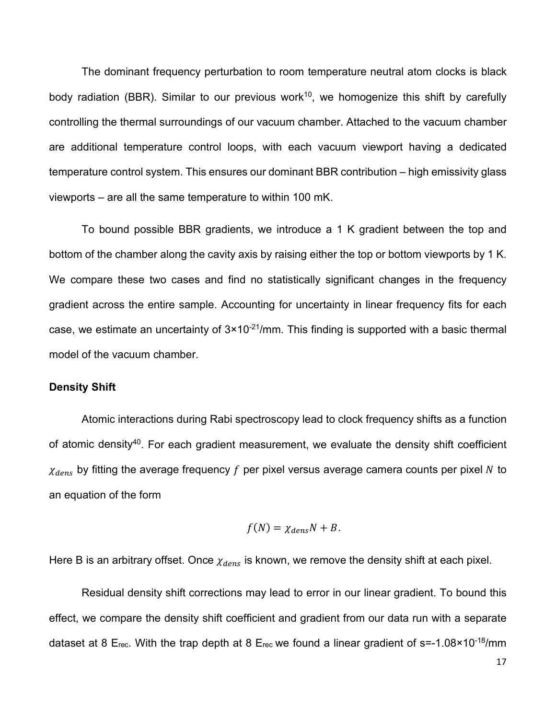The dominant frequency perturbation to room temperature neutral atom clocks is black body radiation (BBR). Similar to our previous work<sup>10</sup>, we homogenize this shift by carefully controlling the thermal surroundings of our vacuum chamber. Attached to the vacuum chamber are additional temperature control loops, with each vacuum viewport having a dedicated temperature control system. This ensures our dominant BBR contribution – high emissivity glass viewports – are all the same temperature to within 100 mK.

To bound possible BBR gradients, we introduce a 1 K gradient between the top and bottom of the chamber along the cavity axis by raising either the top or bottom viewports by 1 K. We compare these two cases and find no statistically significant changes in the frequency gradient across the entire sample. Accounting for uncertainty in linear frequency fits for each case, we estimate an uncertainty of  $3 \times 10^{-21}$ /mm. This finding is supported with a basic thermal model of the vacuum chamber.

#### **Density Shift**

Atomic interactions during Rabi spectroscopy lead to clock frequency shifts as a function of atomic density<sup>40</sup>. For each gradient measurement, we evaluate the density shift coefficient  $\chi_{dens}$  by fitting the average frequency f per pixel versus average camera counts per pixel N to an equation of the form

$$
f(N)=\chi_{dens}N+B.
$$

Here B is an arbitrary offset. Once  $\chi_{dens}$  is known, we remove the density shift at each pixel.

Residual density shift corrections may lead to error in our linear gradient. To bound this effect, we compare the density shift coefficient and gradient from our data run with a separate dataset at 8 E<sub>rec</sub>. With the trap depth at 8 E<sub>rec</sub> we found a linear gradient of  $s = -1.08 \times 10^{-18}$ /mm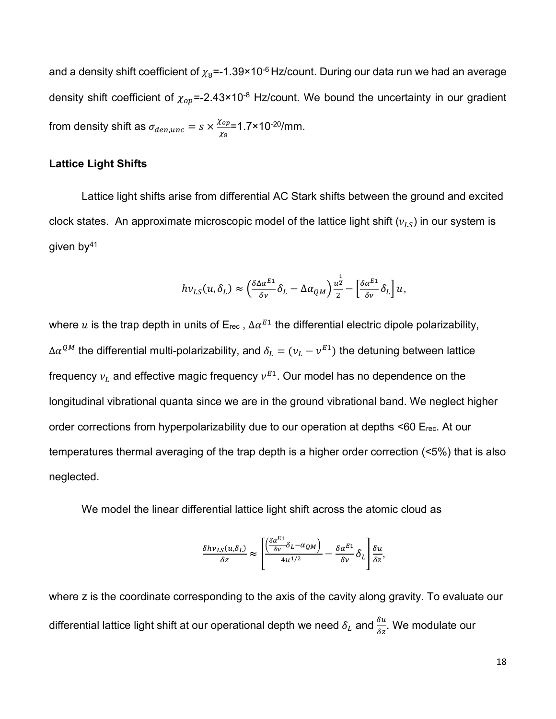and a density shift coefficient of  $\chi_8$ =-1.39×10<sup>-6</sup> Hz/count. During our data run we had an average density shift coefficient of  $\chi_{op}$ =-2.43×10<sup>-8</sup> Hz/count. We bound the uncertainty in our gradient from density shift as  $\sigma_{den,unc} = s \times \frac{\chi_{op}}{\chi_{8}} = 1.7 \times 10^{-20}$ /mm.

#### **Lattice Light Shifts**

Lattice light shifts arise from differential AC Stark shifts between the ground and excited clock states. An approximate microscopic model of the lattice light shift  $(v_{LS})$  in our system is given  $by<sup>41</sup>$ 

$$
h\nu_{LS}(u,\delta_L) \approx \left(\frac{\delta \Delta a^{E_1}}{\delta \nu} \delta_L - \Delta \alpha_{QM}\right) \frac{u^{\frac{1}{2}}}{2} - \left[\frac{\delta a^{E_1}}{\delta \nu} \delta_L\right] u,
$$

where u is the trap depth in units of  $E_{rec}$ ,  $\Delta \alpha^{E1}$  the differential electric dipole polarizability, Δα<sup>QM</sup> the differential multi-polarizability, and  $\delta_L = (\nu_L - \nu^{E1})$  the detuning between lattice frequency  $v_L$  and effective magic frequency  $v^{E1}$ . Our model has no dependence on the longitudinal vibrational quanta since we are in the ground vibrational band. We neglect higher order corrections from hyperpolarizability due to our operation at depths <60 Erec. At our temperatures thermal averaging of the trap depth is a higher order correction (<5%) that is also neglected.

We model the linear differential lattice light shift across the atomic cloud as

$$
\frac{\delta h \nu_{LS}(u,\delta_L)}{\delta z} \approx \left[ \frac{\left(\frac{\delta \alpha^{E_1}}{\delta \nu} \delta_L - \alpha_{QM}\right)}{4u^{1/2}} - \frac{\delta \alpha^{E_1}}{\delta \nu} \delta_L \right] \frac{\delta u}{\delta z},
$$

where z is the coordinate corresponding to the axis of the cavity along gravity. To evaluate our differential lattice light shift at our operational depth we need  $\delta_L$  and  $\frac{\delta u}{\delta z}$ . We modulate our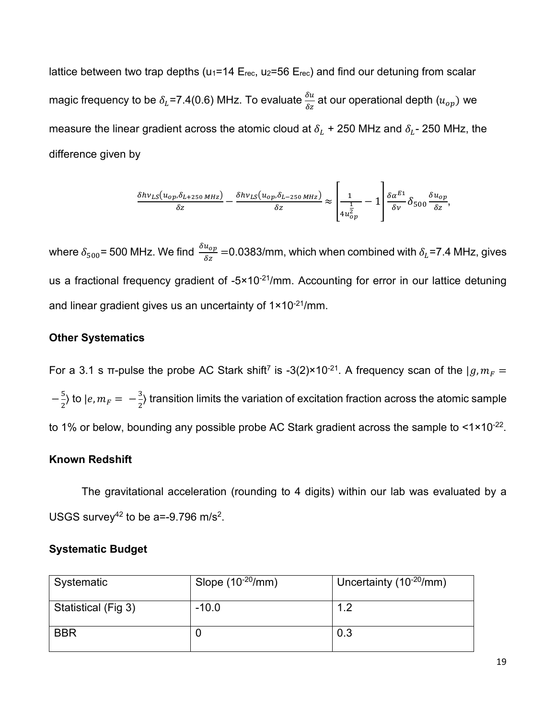lattice between two trap depths ( $u_1$ =14 E<sub>rec</sub>,  $u_2$ =56 E<sub>rec</sub>) and find our detuning from scalar magic frequency to be  $\delta_L$ =7.4(0.6) MHz. To evaluate  $\frac{\delta u}{\delta z}$  at our operational depth  $(u_{op})$  we measure the linear gradient across the atomic cloud at  $\delta_L$  + 250 MHz and  $\delta_L$ - 250 MHz, the difference given by

$$
\frac{\delta h \nu_{LS}(u_{op}, \delta_{L+250~MHz})}{\delta z} - \frac{\delta h \nu_{LS}(u_{op}, \delta_{L-250~MHz})}{\delta z} \approx \left[\frac{1}{4u_{op}^2} - 1\right] \frac{\delta \alpha^{E1}}{\delta \nu} \delta_{500} \frac{\delta u_{op}}{\delta z},
$$

where  $\delta_{500}$ = 500 MHz. We find  $\frac{\delta u_{op}}{\delta z}$  =0.0383/mm, which when combined with  $\delta_L$ =7.4 MHz, gives us a fractional frequency gradient of -5×10<sup>-21</sup>/mm. Accounting for error in our lattice detuning and linear gradient gives us an uncertainty of  $1 \times 10^{-21}$ /mm.

#### **Other Systematics**

For a 3.1 s π-pulse the probe AC Stark shift<sup>7</sup> is -3(2)×10<sup>-21</sup>. A frequency scan of the  $|g, m_F =$  $-\frac{5}{2}$ ) to  $|e, m_F = -\frac{3}{2}\rangle$  transition limits the variation of excitation fraction across the atomic sample to 1% or below, bounding any possible probe AC Stark gradient across the sample to  $\leq 1 \times 10^{-22}$ .

### **Known Redshift**

The gravitational acceleration (rounding to 4 digits) within our lab was evaluated by a USGS survey<sup>42</sup> to be a=-9.796 m/s<sup>2</sup>.

### **Systematic Budget**

| Systematic          | Slope $(10^{-20}/\text{mm})$ | Uncertainty $(10^{-20}/\text{mm})$ |
|---------------------|------------------------------|------------------------------------|
| Statistical (Fig 3) | $-10.0$                      | 1.2                                |
| <b>BBR</b>          |                              | 0.3                                |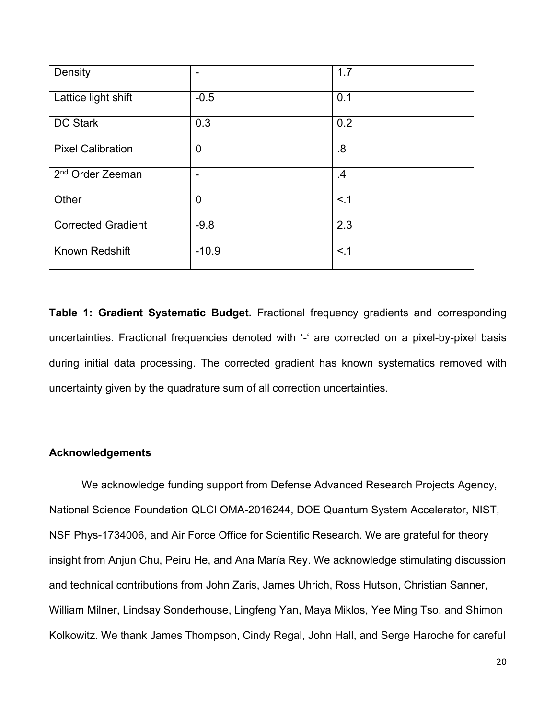| Density                      |                | 1.7           |
|------------------------------|----------------|---------------|
| Lattice light shift          | $-0.5$         | 0.1           |
| <b>DC Stark</b>              | 0.3            | 0.2           |
| <b>Pixel Calibration</b>     | $\overline{0}$ | 8.5           |
| 2 <sup>nd</sup> Order Zeeman |                | $\mathcal{A}$ |
| Other                        | $\mathbf 0$    | < 1           |
| <b>Corrected Gradient</b>    | $-9.8$         | 2.3           |
| Known Redshift               | $-10.9$        | < 1           |

**Table 1: Gradient Systematic Budget.** Fractional frequency gradients and corresponding uncertainties. Fractional frequencies denoted with '-' are corrected on a pixel-by-pixel basis during initial data processing. The corrected gradient has known systematics removed with uncertainty given by the quadrature sum of all correction uncertainties.

#### **Acknowledgements**

We acknowledge funding support from Defense Advanced Research Projects Agency, National Science Foundation QLCI OMA-2016244, DOE Quantum System Accelerator, NIST, NSF Phys-1734006, and Air Force Office for Scientific Research. We are grateful for theory insight from Anjun Chu, Peiru He, and Ana María Rey. We acknowledge stimulating discussion and technical contributions from John Zaris, James Uhrich, Ross Hutson, Christian Sanner, William Milner, Lindsay Sonderhouse, Lingfeng Yan, Maya Miklos, Yee Ming Tso, and Shimon Kolkowitz. We thank James Thompson, Cindy Regal, John Hall, and Serge Haroche for careful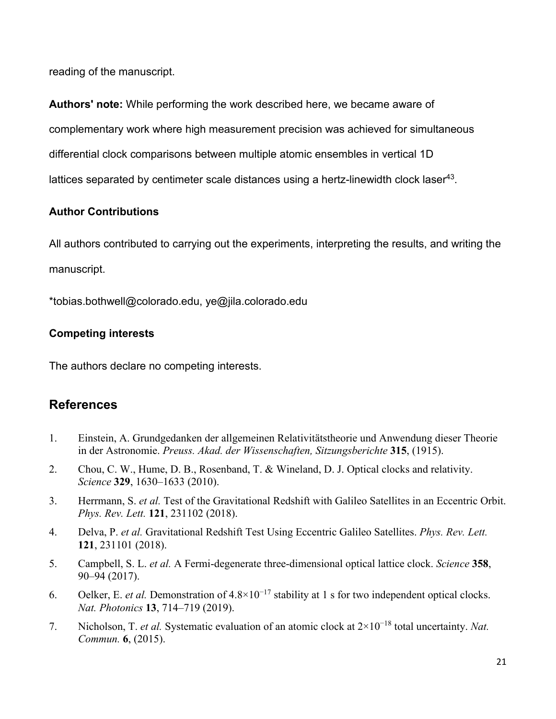reading of the manuscript.

**Authors' note:** While performing the work described here, we became aware of complementary work where high measurement precision was achieved for simultaneous differential clock comparisons between multiple atomic ensembles in vertical 1D lattices separated by centimeter scale distances using a hertz-linewidth clock laser<sup>43</sup>.

## **Author Contributions**

All authors contributed to carrying out the experiments, interpreting the results, and writing the manuscript.

\*tobias.bothwell@colorado.edu, ye@jila.colorado.edu

## **Competing interests**

The authors declare no competing interests.

# **References**

- 1. Einstein, A. Grundgedanken der allgemeinen Relativitätstheorie und Anwendung dieser Theorie in der Astronomie. *Preuss. Akad. der Wissenschaften, Sitzungsberichte* **315**, (1915).
- 2. Chou, C. W., Hume, D. B., Rosenband, T. & Wineland, D. J. Optical clocks and relativity. *Science* **329**, 1630–1633 (2010).
- 3. Herrmann, S. *et al.* Test of the Gravitational Redshift with Galileo Satellites in an Eccentric Orbit. *Phys. Rev. Lett.* **121**, 231102 (2018).
- 4. Delva, P. *et al.* Gravitational Redshift Test Using Eccentric Galileo Satellites. *Phys. Rev. Lett.* **121**, 231101 (2018).
- 5. Campbell, S. L. *et al.* A Fermi-degenerate three-dimensional optical lattice clock. *Science* **358**, 90–94 (2017).
- 6. Oelker, E. *et al.* Demonstration of 4.8×10<sup>−</sup><sup>17</sup> stability at 1 s for two independent optical clocks. *Nat. Photonics* **13**, 714–719 (2019).
- 7. Nicholson, T. *et al.* Systematic evaluation of an atomic clock at 2×10<sup>−</sup><sup>18</sup> total uncertainty. *Nat. Commun.* **6**, (2015).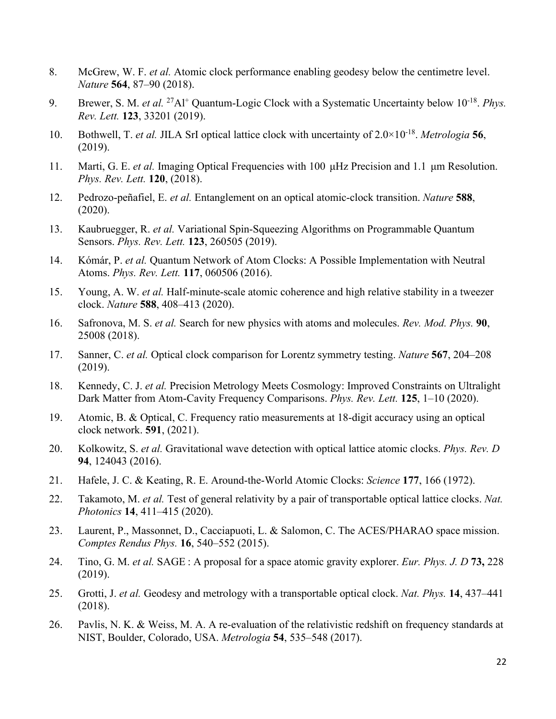- 8. McGrew, W. F. *et al.* Atomic clock performance enabling geodesy below the centimetre level. *Nature* **564**, 87–90 (2018).
- 9. Brewer, S. M. *et al.* <sup>27</sup>Al<sup>+</sup> Quantum-Logic Clock with a Systematic Uncertainty below 10<sup>-18</sup>. *Phys. Rev. Lett.* **123**, 33201 (2019).
- 10. Bothwell, T. *et al.* JILA SrI optical lattice clock with uncertainty of 2.0×10-18. *Metrologia* **56**, (2019).
- 11. Marti, G. E. *et al.* Imaging Optical Frequencies with 100  μHz Precision and 1.1  μm Resolution. *Phys. Rev. Lett.* **120**, (2018).
- 12. Pedrozo-peñafiel, E. *et al.* Entanglement on an optical atomic-clock transition. *Nature* **588**, (2020).
- 13. Kaubruegger, R. *et al.* Variational Spin-Squeezing Algorithms on Programmable Quantum Sensors. *Phys. Rev. Lett.* **123**, 260505 (2019).
- 14. Kómár, P. *et al.* Quantum Network of Atom Clocks: A Possible Implementation with Neutral Atoms. *Phys. Rev. Lett.* **117**, 060506 (2016).
- 15. Young, A. W. *et al.* Half-minute-scale atomic coherence and high relative stability in a tweezer clock. *Nature* **588**, 408–413 (2020).
- 16. Safronova, M. S. *et al.* Search for new physics with atoms and molecules. *Rev. Mod. Phys.* **90**, 25008 (2018).
- 17. Sanner, C. *et al.* Optical clock comparison for Lorentz symmetry testing. *Nature* **567**, 204–208 (2019).
- 18. Kennedy, C. J. *et al.* Precision Metrology Meets Cosmology: Improved Constraints on Ultralight Dark Matter from Atom-Cavity Frequency Comparisons. *Phys. Rev. Lett.* **125**, 1–10 (2020).
- 19. Atomic, B. & Optical, C. Frequency ratio measurements at 18-digit accuracy using an optical clock network. **591**, (2021).
- 20. Kolkowitz, S. *et al.* Gravitational wave detection with optical lattice atomic clocks. *Phys. Rev. D*  **94**, 124043 (2016).
- 21. Hafele, J. C. & Keating, R. E. Around-the-World Atomic Clocks: *Science* **177**, 166 (1972).
- 22. Takamoto, M. *et al.* Test of general relativity by a pair of transportable optical lattice clocks. *Nat. Photonics* **14**, 411–415 (2020).
- 23. Laurent, P., Massonnet, D., Cacciapuoti, L. & Salomon, C. The ACES/PHARAO space mission. *Comptes Rendus Phys.* **16**, 540–552 (2015).
- 24. Tino, G. M. *et al.* SAGE : A proposal for a space atomic gravity explorer. *Eur. Phys. J. D* **73,** 228 (2019).
- 25. Grotti, J. *et al.* Geodesy and metrology with a transportable optical clock. *Nat. Phys.* **14**, 437–441 (2018).
- 26. Pavlis, N. K. & Weiss, M. A. A re-evaluation of the relativistic redshift on frequency standards at NIST, Boulder, Colorado, USA. *Metrologia* **54**, 535–548 (2017).